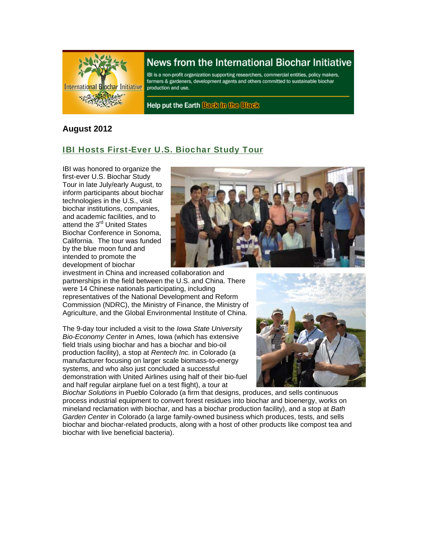

# News from the International Biochar Initiative

IBI is a non-profit organization supporting researchers, commercial entities, policy makers, farmers & gardeners, development agents and others committed to sustainable biochar production and use.

Help put the Earth Back in the Black

### **August 2012**

## IBI Hosts First-Ever U.S. Biochar Study Tour

IBI was honored to organize the first-ever U.S. Biochar Study Tour in late July/early August, to inform participants about biochar technologies in the U.S., visit biochar institutions, companies, and academic facilities, and to attend the 3<sup>rd</sup> United States Biochar Conference in Sonoma, California. The tour was funded by the blue moon fund and intended to promote the development of biochar



investment in China and increased collaboration and partnerships in the field between the U.S. and China. There were 14 Chinese nationals participating, including representatives of the National Development and Reform Commission (NDRC), the Ministry of Finance, the Ministry of Agriculture, and the Global Environmental Institute of China.

The 9-day tour included a visit to the *Iowa State University Bio-Economy Center* in Ames, Iowa (which has extensive field trials using biochar and has a biochar and bio-oil production facility), a stop at *Rentech Inc.* in Colorado (a manufacturer focusing on larger scale biomass-to-energy systems, and who also just concluded a successful demonstration with United Airlines using half of their bio-fuel and half regular airplane fuel on a test flight), a tour at



*Biochar Solutions* in Pueblo Colorado (a firm that designs, produces, and sells continuous process industrial equipment to convert forest residues into biochar and bioenergy, works on mineland reclamation with biochar, and has a biochar production facility), and a stop at *Bath Garden Center* in Colorado (a large family-owned business which produces, tests, and sells biochar and biochar-related products, along with a host of other products like compost tea and biochar with live beneficial bacteria).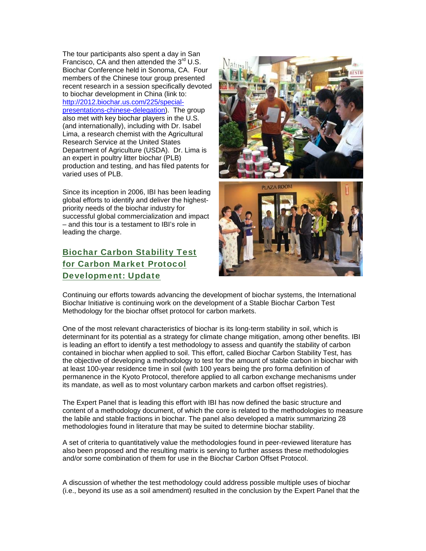The tour participants also spent a day in San Francisco, CA and then attended the  $3<sup>rd</sup>$  U.S. Biochar Conference held in Sonoma, CA. Four members of the Chinese tour group presented recent research in a session specifically devoted to biochar development in China (link to: http://2012.biochar.us.com/225/specialpresentations-chinese-delegation). The group also met with key biochar players in the U.S. (and internationally), including with Dr. Isabel Lima, a research chemist with the Agricultural Research Service at the United States Department of Agriculture (USDA). Dr. Lima is an expert in poultry litter biochar (PLB) production and testing, and has filed patents for varied uses of PLB.

Since its inception in 2006, IBI has been leading global efforts to identify and deliver the highestpriority needs of the biochar industry for successful global commercialization and impact – and this tour is a testament to IBI's role in leading the charge.

## Biochar Carbon Stability Test for Carbon Market Protocol Development: Update



Continuing our efforts towards advancing the development of biochar systems, the International Biochar Initiative is continuing work on the development of a Stable Biochar Carbon Test Methodology for the biochar offset protocol for carbon markets.

One of the most relevant characteristics of biochar is its long-term stability in soil, which is determinant for its potential as a strategy for climate change mitigation, among other benefits. IBI is leading an effort to identify a test methodology to assess and quantify the stability of carbon contained in biochar when applied to soil. This effort, called Biochar Carbon Stability Test, has the objective of developing a methodology to test for the amount of stable carbon in biochar with at least 100-year residence time in soil (with 100 years being the pro forma definition of permanence in the Kyoto Protocol, therefore applied to all carbon exchange mechanisms under its mandate, as well as to most voluntary carbon markets and carbon offset registries).

The Expert Panel that is leading this effort with IBI has now defined the basic structure and content of a methodology document, of which the core is related to the methodologies to measure the labile and stable fractions in biochar. The panel also developed a matrix summarizing 28 methodologies found in literature that may be suited to determine biochar stability.

A set of criteria to quantitatively value the methodologies found in peer-reviewed literature has also been proposed and the resulting matrix is serving to further assess these methodologies and/or some combination of them for use in the Biochar Carbon Offset Protocol.

A discussion of whether the test methodology could address possible multiple uses of biochar (i.e., beyond its use as a soil amendment) resulted in the conclusion by the Expert Panel that the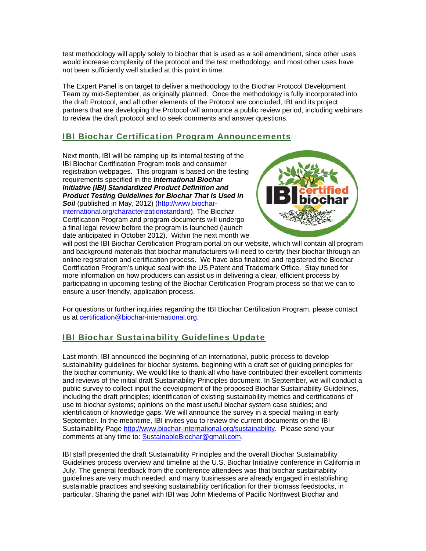test methodology will apply solely to biochar that is used as a soil amendment, since other uses would increase complexity of the protocol and the test methodology, and most other uses have not been sufficiently well studied at this point in time.

The Expert Panel is on target to deliver a methodology to the Biochar Protocol Development Team by mid-September, as originally planned. Once the methodology is fully incorporated into the draft Protocol, and all other elements of the Protocol are concluded, IBI and its project partners that are developing the Protocol will announce a public review period, including webinars to review the draft protocol and to seek comments and answer questions.

### IBI Biochar Certification Program Announcements

Next month, IBI will be ramping up its internal testing of the IBI Biochar Certification Program tools and consumer registration webpages. This program is based on the testing requirements specified in the *International Biochar Initiative (IBI) Standardized Product Definition and Product Testing Guidelines for Biochar That Is Used in Soil* (published in May, 2012) (http://www.biocharinternational.org/characterizationstandard). The Biochar Certification Program and program documents will undergo a final legal review before the program is launched (launch date anticipated in October 2012). Within the next month we



will post the IBI Biochar Certification Program portal on our website, which will contain all program and background materials that biochar manufacturers will need to certify their biochar through an online registration and certification process. We have also finalized and registered the Biochar Certification Program's unique seal with the US Patent and Trademark Office. Stay tuned for more information on how producers can assist us in delivering a clear, efficient process by participating in upcoming testing of the Biochar Certification Program process so that we can to ensure a user-friendly, application process.

For questions or further inquiries regarding the IBI Biochar Certification Program, please contact us at certification@biochar-international.org.

## IBI Biochar Sustainability Guidelines Update

Last month, IBI announced the beginning of an international, public process to develop sustainability guidelines for biochar systems, beginning with a draft set of guiding principles for the biochar community. We would like to thank all who have contributed their excellent comments and reviews of the initial draft Sustainability Principles document. In September, we will conduct a public survey to collect input the development of the proposed Biochar Sustainability Guidelines, including the draft principles; identification of existing sustainability metrics and certifications of use to biochar systems; opinions on the most useful biochar system case studies; and identification of knowledge gaps. We will announce the survey in a special mailing in early September. In the meantime, IBI invites you to review the current documents on the IBI Sustainability Page http://www.biochar-international.org/sustainability. Please send your comments at any time to: SustainableBiochar@gmail.com.

IBI staff presented the draft Sustainability Principles and the overall Biochar Sustainability Guidelines process overview and timeline at the U.S. Biochar Initiative conference in California in July. The general feedback from the conference attendees was that biochar sustainability guidelines are very much needed, and many businesses are already engaged in establishing sustainable practices and seeking sustainability certification for their biomass feedstocks, in particular. Sharing the panel with IBI was John Miedema of Pacific Northwest Biochar and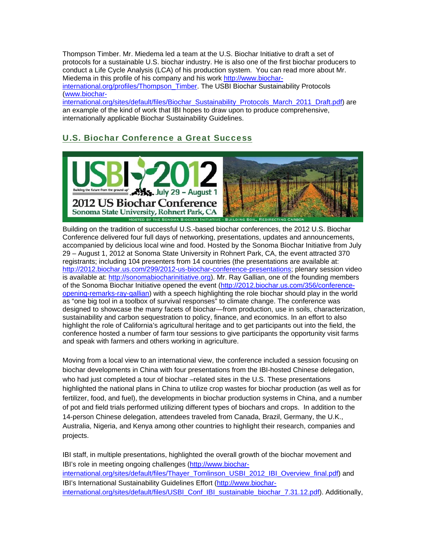Thompson Timber. Mr. Miedema led a team at the U.S. Biochar Initiative to draft a set of protocols for a sustainable U.S. biochar industry. He is also one of the first biochar producers to conduct a Life Cycle Analysis (LCA) of his production system. You can read more about Mr. Miedema in this profile of his company and his work http://www.biocharinternational.org/profiles/Thompson\_Timber. The USBI Biochar Sustainability Protocols (www.biocharinternational.org/sites/default/files/Biochar\_Sustainability\_Protocols\_March\_2011\_Draft.pdf) are

an example of the kind of work that IBI hopes to draw upon to produce comprehensive, internationally applicable Biochar Sustainability Guidelines.

## U.S. Biochar Conference a Great Success



Building on the tradition of successful U.S.-based biochar conferences, the 2012 U.S. Biochar Conference delivered four full days of networking, presentations, updates and announcements, accompanied by delicious local wine and food. Hosted by the Sonoma Biochar Initiative from July 29 – August 1, 2012 at Sonoma State University in Rohnert Park, CA, the event attracted 370 registrants; including 104 presenters from 14 countries (the presentations are available at: http://2012.biochar.us.com/299/2012-us-biochar-conference-presentations; plenary session video is available at: http://sonomabiocharinitiative.org). Mr. Ray Gallian, one of the founding members of the Sonoma Biochar Initiative opened the event (http://2012.biochar.us.com/356/conferenceopening-remarks-ray-gallian) with a speech highlighting the role biochar should play in the world as "one big tool in a toolbox of survival responses" to climate change. The conference was designed to showcase the many facets of biochar—from production, use in soils, characterization, sustainability and carbon sequestration to policy, finance, and economics. In an effort to also highlight the role of California's agricultural heritage and to get participants out into the field, the conference hosted a number of farm tour sessions to give participants the opportunity visit farms and speak with farmers and others working in agriculture.

Moving from a local view to an international view, the conference included a session focusing on biochar developments in China with four presentations from the IBI-hosted Chinese delegation, who had just completed a tour of biochar –related sites in the U.S. These presentations highlighted the national plans in China to utilize crop wastes for biochar production (as well as for fertilizer, food, and fuel), the developments in biochar production systems in China, and a number of pot and field trials performed utilizing different types of biochars and crops. In addition to the 14-person Chinese delegation, attendees traveled from Canada, Brazil, Germany, the U.K., Australia, Nigeria, and Kenya among other countries to highlight their research, companies and projects.

IBI staff, in multiple presentations, highlighted the overall growth of the biochar movement and IBI's role in meeting ongoing challenges (http://www.biocharinternational.org/sites/default/files/Thayer\_Tomlinson\_USBI\_2012\_IBI\_Overview\_final.pdf) and IBI's International Sustainability Guidelines Effort (http://www.biocharinternational.org/sites/default/files/USBI\_Conf\_IBI\_sustainable\_biochar\_7.31.12.pdf). Additionally,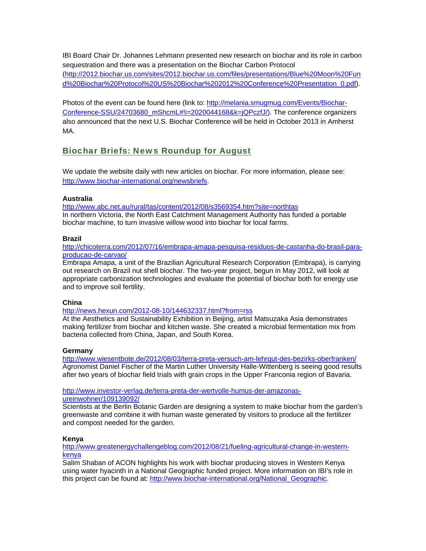IBI Board Chair Dr. Johannes Lehmann presented new research on biochar and its role in carbon sequestration and there was a presentation on the Biochar Carbon Protocol (http://2012.biochar.us.com/sites/2012.biochar.us.com/files/presentations/Blue%20Moon%20Fun d%20Biochar%20Protocol%20US%20Biochar%202012%20Conference%20Presentation\_0.pdf).

Photos of the event can be found here (link to: http://melania.smugmug.com/Events/Biochar-Conference-SSU/24703680\_mShcmL#!i=2020044168&k=jQPczfJ/). The conference organizers also announced that the next U.S. Biochar Conference will be held in October 2013 in Amherst MA.

### Biochar Briefs: News Roundup for August

We update the website daily with new articles on biochar. For more information, please see: http://www.biochar-international.org/newsbriefs.

#### **Australia**

http://www.abc.net.au/rural/tas/content/2012/08/s3569354.htm?site=northtas In northern Victoria, the North East Catchment Management Authority has funded a portable biochar machine, to turn invasive willow wood into biochar for local farms.

#### **Brazil**

http://chicoterra.com/2012/07/16/embrapa-amapa-pesquisa-residuos-de-castanha-do-brasil-paraproducao-de-carvao/

Embrapa Amapa, a unit of the Brazilian Agricultural Research Corporation (Embrapa), is carrying out research on Brazil nut shell biochar. The two-year project, begun in May 2012, will look at appropriate carbonization technologies and evaluate the potential of biochar both for energy use and to improve soil fertility.

#### **China**

http://news.hexun.com/2012-08-10/144632337.html?from=rss

At the Aesthetics and Sustainability Exhibition in Beijing, artist Matsuzaka Asia demonstrates making fertilizer from biochar and kitchen waste. She created a microbial fermentation mix from bacteria collected from China, Japan, and South Korea.

#### **Germany**

http://www.wiesentbote.de/2012/08/03/terra-preta-versuch-am-lehrgut-des-bezirks-oberfranken/ Agronomist Daniel Fischer of the Martin Luther University Halle-Wittenberg is seeing good results after two years of biochar field trials with grain crops in the Upper Franconia region of Bavaria.

http://www.investor-verlag.de/terra-preta-der-wertvolle-humus-der-amazonasureinwohner/109139092/

Scientists at the Berlin Botanic Garden are designing a system to make biochar from the garden's greenwaste and combine it with human waste generated by visitors to produce all the fertilizer and compost needed for the garden.

#### **Kenya**

http://www.greatenergychallengeblog.com/2012/08/21/fueling-agricultural-change-in-westernkenya

Salim Shaban of ACON highlights his work with biochar producing stoves in Western Kenya using water hyacinth in a National Geographic funded project. More information on IBI's role in this project can be found at: http://www.biochar-international.org/National\_Geographic.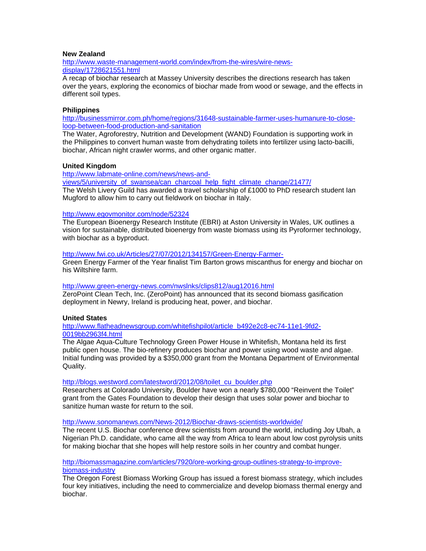#### **New Zealand**

http://www.waste-management-world.com/index/from-the-wires/wire-newsdisplay/1728621551.html

A recap of biochar research at Massey University describes the directions research has taken over the years, exploring the economics of biochar made from wood or sewage, and the effects in different soil types.

#### **Philippines**

http://businessmirror.com.ph/home/regions/31648-sustainable-farmer-uses-humanure-to-closeloop-between-food-production-and-sanitation

The Water, Agroforestry, Nutrition and Development (WAND) Foundation is supporting work in the Philippines to convert human waste from dehydrating toilets into fertilizer using lacto-bacilli, biochar, African night crawler worms, and other organic matter.

#### **United Kingdom**

http://www.labmate-online.com/news/news-and-

views/5/university\_of\_swansea/can\_charcoal\_help\_fight\_climate\_change/21477/ The Welsh Livery Guild has awarded a travel scholarship of £1000 to PhD research student Ian Mugford to allow him to carry out fieldwork on biochar in Italy.

#### http://www.egovmonitor.com/node/52324

The European Bioenergy Research Institute (EBRI) at Aston University in Wales, UK outlines a vision for sustainable, distributed bioenergy from waste biomass using its Pyroformer technology, with biochar as a byproduct.

#### http://www.fwi.co.uk/Articles/27/07/2012/134157/Green-Energy-Farmer-

Green Energy Farmer of the Year finalist Tim Barton grows miscanthus for energy and biochar on his Wiltshire farm.

#### http://www.green-energy-news.com/nwslnks/clips812/aug12016.html

ZeroPoint Clean Tech, Inc. (ZeroPoint) has announced that its second biomass gasification deployment in Newry, Ireland is producing heat, power, and biochar.

#### **United States**

http://www.flatheadnewsgroup.com/whitefishpilot/article\_b492e2c8-ec74-11e1-9fd2- 0019bb2963f4.html

The Algae Aqua-Culture Technology Green Power House in Whitefish, Montana held its first public open house. The bio-refinery produces biochar and power using wood waste and algae. Initial funding was provided by a \$350,000 grant from the Montana Department of Environmental Quality.

#### http://blogs.westword.com/latestword/2012/08/toilet\_cu\_boulder.php

Researchers at Colorado University, Boulder have won a nearly \$780,000 "Reinvent the Toilet" grant from the Gates Foundation to develop their design that uses solar power and biochar to sanitize human waste for return to the soil.

#### http://www.sonomanews.com/News-2012/Biochar-draws-scientists-worldwide/

The recent U.S. Biochar conference drew scientists from around the world, including Joy Ubah, a Nigerian Ph.D. candidate, who came all the way from Africa to learn about low cost pyrolysis units for making biochar that she hopes will help restore soils in her country and combat hunger.

#### http://biomassmagazine.com/articles/7920/ore-working-group-outlines-strategy-to-improvebiomass-industry

The Oregon Forest Biomass Working Group has issued a forest biomass strategy, which includes four key initiatives, including the need to commercialize and develop biomass thermal energy and biochar.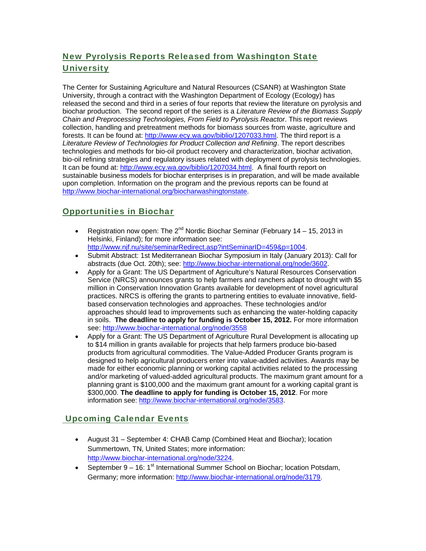## New Pyrolysis Reports Released from Washington State **University**

The Center for Sustaining Agriculture and Natural Resources (CSANR) at Washington State University, through a contract with the Washington Department of Ecology (Ecology) has released the second and third in a series of four reports that review the literature on pyrolysis and biochar production. The second report of the series is a *Literature Review of the Biomass Supply Chain and Preprocessing Technologies, From Field to Pyrolysis Reactor*. This report reviews collection, handling and pretreatment methods for biomass sources from waste, agriculture and forests. It can be found at: http://www.ecy.wa.gov/biblio/1207033.html. The third report is a *Literature Review of Technologies for Product Collection and Refining*. The report describes technologies and methods for bio-oil product recovery and characterization, biochar activation, bio-oil refining strategies and regulatory issues related with deployment of pyrolysis technologies. It can be found at: http://www.ecy.wa.gov/biblio/1207034.html. A final fourth report on sustainable business models for biochar enterprises is in preparation, and will be made available upon completion. Information on the program and the previous reports can be found at http://www.biochar-international.org/biocharwashingtonstate.

## Opportunities in Biochar

- Registration now open: The  $2^{nd}$  Nordic Biochar Seminar (February 14 15, 2013 in Helsinki, Finland); for more information see: http://www.njf.nu/site/seminarRedirect.asp?intSeminarID=459&p=1004.
- Submit Abstract: 1st Mediterranean Biochar Symposium in Italy (January 2013): Call for abstracts (due Oct. 20th); see: http://www.biochar-international.org/node/3602.
- Apply for a Grant: The US Department of Agriculture's Natural Resources Conservation Service (NRCS) announces grants to help farmers and ranchers adapt to drought with \$5 million in Conservation Innovation Grants available for development of novel agricultural practices. NRCS is offering the grants to partnering entities to evaluate innovative, fieldbased conservation technologies and approaches. These technologies and/or approaches should lead to improvements such as enhancing the water-holding capacity in soils. **The deadline to apply for funding is October 15, 2012.** For more information see: http://www.biochar-international.org/node/3558
- Apply for a Grant: The US Department of Agriculture Rural Development is allocating up to \$14 million in grants available for projects that help farmers produce bio-based products from agricultural commodities. The Value-Added Producer Grants program is designed to help agricultural producers enter into value-added activities. Awards may be made for either economic planning or working capital activities related to the processing and/or marketing of valued-added agricultural products. The maximum grant amount for a planning grant is \$100,000 and the maximum grant amount for a working capital grant is \$300,000. **The deadline to apply for funding is October 15, 2012**. For more information see: http://www.biochar-international.org/node/3583.

## Upcoming Calendar Events

- August 31 September 4: CHAB Camp (Combined Heat and Biochar); location Summertown, TN, United States; more information: http://www.biochar-international.org/node/3224.
- September  $9 16$ : 1<sup>st</sup> International Summer School on Biochar; location Potsdam, Germany; more information: http://www.biochar-international.org/node/3179.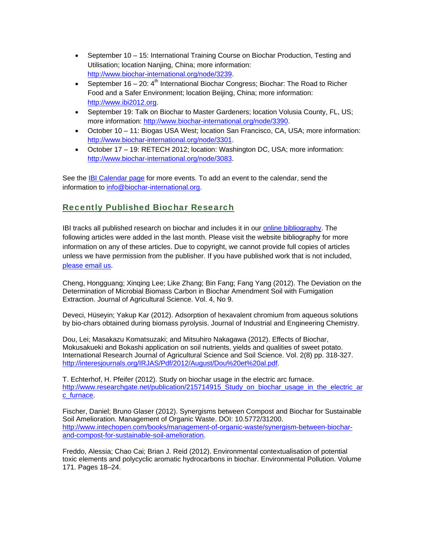- September 10 15: International Training Course on Biochar Production, Testing and Utilisation; location Nanjing, China; more information: http://www.biochar-international.org/node/3239.
- September 16 20:  $4<sup>th</sup>$  International Biochar Congress; Biochar: The Road to Richer Food and a Safer Environment; location Beijing, China; more information: http://www.ibi2012.org.
- September 19: Talk on Biochar to Master Gardeners; location Volusia County, FL, US; more information: http://www.biochar-international.org/node/3390.
- October 10 11: Biogas USA West; location San Francisco, CA, USA; more information: http://www.biochar-international.org/node/3301.
- October 17 19: RETECH 2012; location: Washington DC, USA; more information: http://www.biochar-international.org/node/3083.

See the IBI Calendar page for more events. To add an event to the calendar, send the information to info@biochar-international.org.

### Recently Published Biochar Research

IBI tracks all published research on biochar and includes it in our online bibliography. The following articles were added in the last month. Please visit the website bibliography for more information on any of these articles. Due to copyright, we cannot provide full copies of articles unless we have permission from the publisher. If you have published work that is not included, please email us.

Cheng, Hongguang; Xinqing Lee; Like Zhang; Bin Fang; Fang Yang (2012). The Deviation on the Determination of Microbial Biomass Carbon in Biochar Amendment Soil with Fumigation Extraction. Journal of Agricultural Science. Vol. 4, No 9.

Deveci, Hüseyin; Yakup Kar (2012). Adsorption of hexavalent chromium from aqueous solutions by bio-chars obtained during biomass pyrolysis. Journal of Industrial and Engineering Chemistry.

Dou, Lei; Masakazu Komatsuzaki; and Mitsuhiro Nakagawa (2012). Effects of Biochar, Mokusakueki and Bokashi application on soil nutrients, yields and qualities of sweet potato. International Research Journal of Agricultural Science and Soil Science. Vol. 2(8) pp. 318-327. http://interesjournals.org/IRJAS/Pdf/2012/August/Dou%20et%20al.pdf.

T. Echterhof, H. Pfeifer (2012). Study on biochar usage in the electric arc furnace. http://www.researchgate.net/publication/215714915\_Study\_on\_biochar\_usage\_in\_the\_electric\_ar c\_furnace.

Fischer, Daniel; Bruno Glaser (2012). Synergisms between Compost and Biochar for Sustainable Soil Amelioration. Management of Organic Waste. DOI: 10.5772/31200. http://www.intechopen.com/books/management-of-organic-waste/synergism-between-biocharand-compost-for-sustainable-soil-amelioration.

Freddo, Alessia; Chao Cai; Brian J. Reid (2012). Environmental contextualisation of potential toxic elements and polycyclic aromatic hydrocarbons in biochar. Environmental Pollution. Volume 171. Pages 18–24.